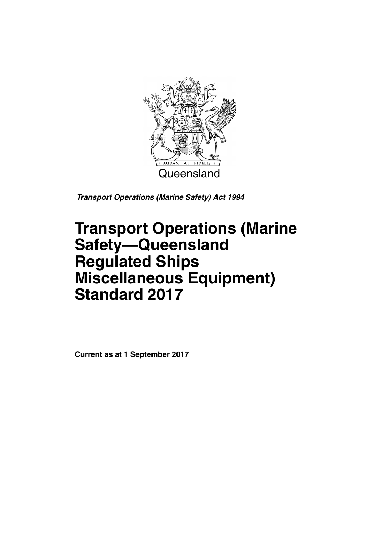

*Transport Operations (Marine Safety) Act 1994*

# **Transport Operations (Marine Safety—Queensland Regulated Ships Miscellaneous Equipment) Standard 2017**

**Current as at 1 September 2017**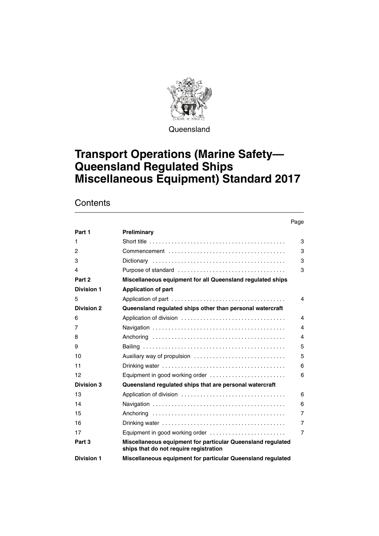

**Queensland** 

# **Transport Operations (Marine Safety— Queensland Regulated Ships Miscellaneous Equipment) Standard 2017**

### **Contents**

|                   |                                                                                                          | Page           |
|-------------------|----------------------------------------------------------------------------------------------------------|----------------|
| Part 1            | Preliminary                                                                                              |                |
| 1                 | Short title $\ldots \ldots \ldots \ldots \ldots \ldots \ldots \ldots \ldots \ldots \ldots \ldots \ldots$ | 3              |
| 2                 |                                                                                                          | 3              |
| 3                 |                                                                                                          | 3              |
| 4                 |                                                                                                          | 3              |
| Part 2            | Miscellaneous equipment for all Queensland regulated ships                                               |                |
| <b>Division 1</b> | <b>Application of part</b>                                                                               |                |
| 5                 |                                                                                                          | 4              |
| <b>Division 2</b> | Queensland regulated ships other than personal watercraft                                                |                |
| 6                 |                                                                                                          | 4              |
| 7                 |                                                                                                          | $\overline{4}$ |
| 8                 |                                                                                                          | 4              |
| 9                 |                                                                                                          | 5              |
| 10                | Auxiliary way of propulsion                                                                              | 5              |
| 11                |                                                                                                          | 6              |
| 12                | Equipment in good working order                                                                          | 6              |
| <b>Division 3</b> | Queensland regulated ships that are personal watercraft                                                  |                |
| 13                |                                                                                                          | 6              |
| 14                |                                                                                                          | 6              |
| 15                |                                                                                                          | $\overline{7}$ |
| 16                |                                                                                                          | $\overline{7}$ |
| 17                | Equipment in good working order                                                                          | $\overline{7}$ |
| Part 3            | Miscellaneous equipment for particular Queensland regulated<br>ships that do not require registration    |                |
| <b>Division 1</b> | Miscellaneous equipment for particular Queensland regulated                                              |                |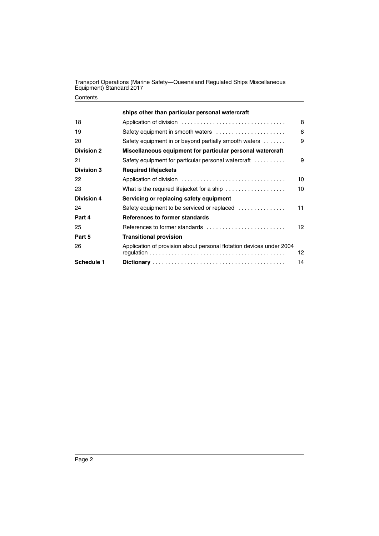#### **Contents**

|                   | ships other than particular personal watercraft                                 |    |
|-------------------|---------------------------------------------------------------------------------|----|
| 18                |                                                                                 | 8  |
| 19                | Safety equipment in smooth waters                                               | 8  |
| 20                | Safety equipment in or beyond partially smooth waters $\dots\dots$              | 9  |
| <b>Division 2</b> | Miscellaneous equipment for particular personal watercraft                      |    |
| 21                | Safety equipment for particular personal watercraft                             | 9  |
| <b>Division 3</b> | <b>Required lifejackets</b>                                                     |    |
| 22                |                                                                                 | 10 |
| 23                | What is the required lifejacket for a ship $\ldots \ldots \ldots \ldots \ldots$ | 10 |
| <b>Division 4</b> | Servicing or replacing safety equipment                                         |    |
| 24                | Safety equipment to be serviced or replaced                                     | 11 |
| Part 4            | References to former standards                                                  |    |
| 25                | References to former standards                                                  | 12 |
| Part 5            | <b>Transitional provision</b>                                                   |    |
| 26                | Application of provision about personal flotation devices under 2004            | 12 |
| <b>Schedule 1</b> |                                                                                 | 14 |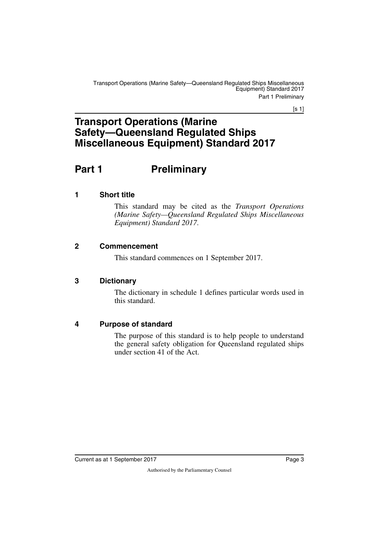$[s 1]$ 

### **Transport Operations (Marine Safety—Queensland Regulated Ships Miscellaneous Equipment) Standard 2017**

# <span id="page-4-0"></span>**Part 1** Preliminary

### <span id="page-4-2"></span>**1 Short title**

<span id="page-4-3"></span><span id="page-4-1"></span>This standard may be cited as the *Transport Operations (Marine Safety—Queensland Regulated Ships Miscellaneous Equipment) Standard 2017*.

### <span id="page-4-4"></span>**2 Commencement**

<span id="page-4-5"></span>This standard commences on 1 September 2017.

### <span id="page-4-6"></span>**3 Dictionary**

<span id="page-4-7"></span>The dictionary in schedule 1 defines particular words used in this standard.

### <span id="page-4-8"></span>**4 Purpose of standard**

<span id="page-4-9"></span>The purpose of this standard is to help people to understand the general safety obligation for Queensland regulated ships under section 41 of the Act.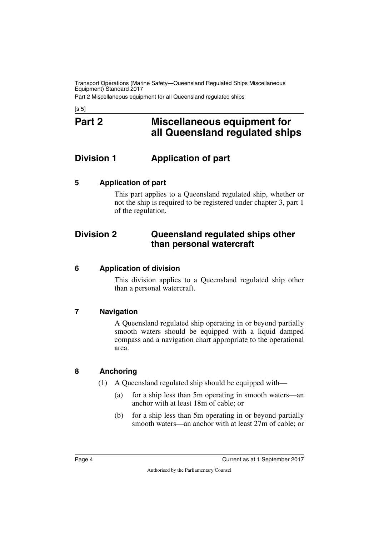Part 2 Miscellaneous equipment for all Queensland regulated ships

<span id="page-5-1"></span><span id="page-5-0"></span> $[s 5]$ 

### **Part 2 Miscellaneous equipment for all Queensland regulated ships**

### <span id="page-5-2"></span>**Division 1 Application of part**

### <span id="page-5-4"></span>**5 Application of part**

<span id="page-5-7"></span><span id="page-5-5"></span><span id="page-5-3"></span>This part applies to a Queensland regulated ship, whether or not the ship is required to be registered under chapter 3, part 1 of the regulation.

### <span id="page-5-6"></span>**Division 2 Queensland regulated ships other than personal watercraft**

### <span id="page-5-8"></span>**6 Application of division**

<span id="page-5-9"></span>This division applies to a Queensland regulated ship other than a personal watercraft.

### <span id="page-5-10"></span>**7 Navigation**

<span id="page-5-11"></span>A Queensland regulated ship operating in or beyond partially smooth waters should be equipped with a liquid damped compass and a navigation chart appropriate to the operational area.

### <span id="page-5-12"></span>**8 Anchoring**

- <span id="page-5-13"></span>(1) A Queensland regulated ship should be equipped with—
	- (a) for a ship less than 5m operating in smooth waters—an anchor with at least 18m of cable; or
	- (b) for a ship less than 5m operating in or beyond partially smooth waters—an anchor with at least 27m of cable; or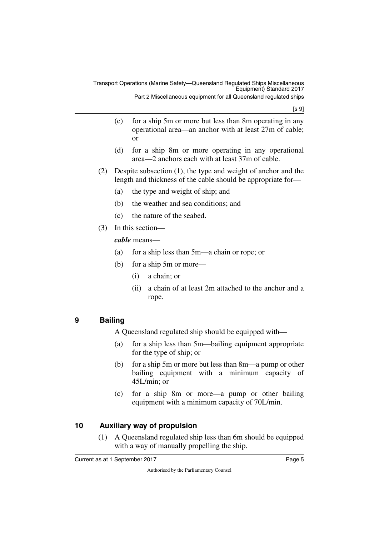[s 9]

- (c) for a ship 5m or more but less than 8m operating in any operational area—an anchor with at least 27m of cable; or
- (d) for a ship 8m or more operating in any operational area—2 anchors each with at least 37m of cable.
- (2) Despite subsection (1), the type and weight of anchor and the length and thickness of the cable should be appropriate for—
	- (a) the type and weight of ship; and
	- (b) the weather and sea conditions; and
	- (c) the nature of the seabed.
- (3) In this section—

### *cable* means—

- (a) for a ship less than 5m—a chain or rope; or
- (b) for a ship 5m or more—
	- (i) a chain; or
	- (ii) a chain of at least 2m attached to the anchor and a rope.

### <span id="page-6-0"></span>**9 Bailing**

<span id="page-6-1"></span>A Queensland regulated ship should be equipped with—

- (a) for a ship less than 5m—bailing equipment appropriate for the type of ship; or
- (b) for a ship 5m or more but less than 8m—a pump or other bailing equipment with a minimum capacity of 45L/min; or
- (c) for a ship 8m or more—a pump or other bailing equipment with a minimum capacity of 70L/min.

### <span id="page-6-2"></span>**10 Auxiliary way of propulsion**

<span id="page-6-3"></span>(1) A Queensland regulated ship less than 6m should be equipped with a way of manually propelling the ship.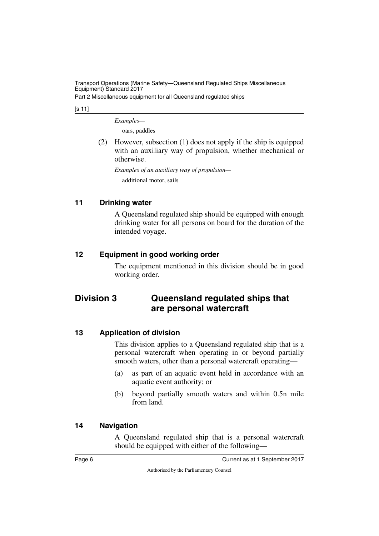Part 2 Miscellaneous equipment for all Queensland regulated ships

[s 11]

*Examples—*

oars, paddles

(2) However, subsection (1) does not apply if the ship is equipped with an auxiliary way of propulsion, whether mechanical or otherwise.

*Examples of an auxiliary way of propulsion* additional motor, sails

### <span id="page-7-0"></span>**11 Drinking water**

<span id="page-7-1"></span>A Queensland regulated ship should be equipped with enough drinking water for all persons on board for the duration of the intended voyage.

### <span id="page-7-2"></span>**12 Equipment in good working order**

<span id="page-7-5"></span><span id="page-7-3"></span>The equipment mentioned in this division should be in good working order.

### <span id="page-7-4"></span>**Division 3 Queensland regulated ships that are personal watercraft**

### <span id="page-7-6"></span>**13 Application of division**

<span id="page-7-7"></span>This division applies to a Queensland regulated ship that is a personal watercraft when operating in or beyond partially smooth waters, other than a personal watercraft operating—

- (a) as part of an aquatic event held in accordance with an aquatic event authority; or
- (b) beyond partially smooth waters and within 0.5n mile from land.

### <span id="page-7-8"></span>**14 Navigation**

<span id="page-7-9"></span>A Queensland regulated ship that is a personal watercraft should be equipped with either of the following—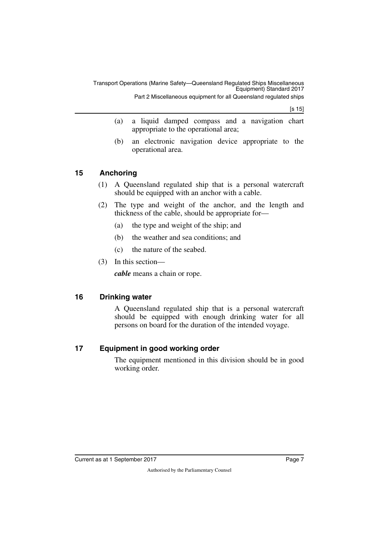[s 15]

- (a) a liquid damped compass and a navigation chart appropriate to the operational area;
- (b) an electronic navigation device appropriate to the operational area.

### <span id="page-8-0"></span>**15 Anchoring**

- <span id="page-8-1"></span>(1) A Queensland regulated ship that is a personal watercraft should be equipped with an anchor with a cable.
- (2) The type and weight of the anchor, and the length and thickness of the cable, should be appropriate for—
	- (a) the type and weight of the ship; and
	- (b) the weather and sea conditions; and
	- (c) the nature of the seabed.
- (3) In this section—

<span id="page-8-3"></span>*cable* means a chain or rope.

### <span id="page-8-2"></span>**16 Drinking water**

A Queensland regulated ship that is a personal watercraft should be equipped with enough drinking water for all persons on board for the duration of the intended voyage.

### <span id="page-8-4"></span>**17 Equipment in good working order**

<span id="page-8-5"></span>The equipment mentioned in this division should be in good working order.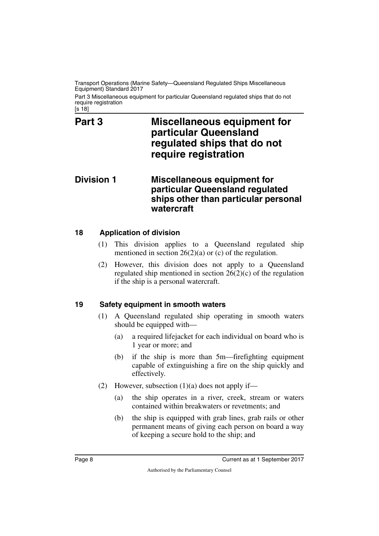Part 3 Miscellaneous equipment for particular Queensland regulated ships that do not require registration

<span id="page-9-1"></span><span id="page-9-0"></span>[s 18]

### **Part 3 Miscellaneous equipment for particular Queensland regulated ships that do not require registration**

### <span id="page-9-3"></span><span id="page-9-2"></span>**Division 1 Miscellaneous equipment for particular Queensland regulated ships other than particular personal watercraft**

### <span id="page-9-4"></span>**18 Application of division**

- <span id="page-9-5"></span>(1) This division applies to a Queensland regulated ship mentioned in section  $26(2)(a)$  or (c) of the regulation.
- (2) However, this division does not apply to a Queensland regulated ship mentioned in section 26(2)(c) of the regulation if the ship is a personal watercraft.

### <span id="page-9-6"></span>**19 Safety equipment in smooth waters**

- <span id="page-9-7"></span>(1) A Queensland regulated ship operating in smooth waters should be equipped with—
	- (a) a required lifejacket for each individual on board who is 1 year or more; and
	- (b) if the ship is more than 5m—firefighting equipment capable of extinguishing a fire on the ship quickly and effectively.
- (2) However, subsection  $(1)(a)$  does not apply if—
	- (a) the ship operates in a river, creek, stream or waters contained within breakwaters or revetments; and
	- (b) the ship is equipped with grab lines, grab rails or other permanent means of giving each person on board a way of keeping a secure hold to the ship; and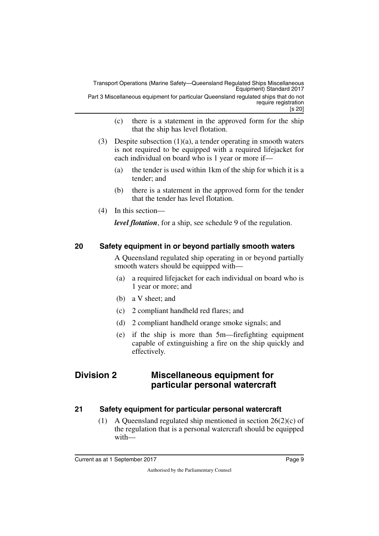[s 20] Part 3 Miscellaneous equipment for particular Queensland regulated ships that do not require registration

- (c) there is a statement in the approved form for the ship that the ship has level flotation.
- (3) Despite subsection (1)(a), a tender operating in smooth waters is not required to be equipped with a required lifejacket for each individual on board who is 1 year or more if—
	- (a) the tender is used within 1km of the ship for which it is a tender; and
	- (b) there is a statement in the approved form for the tender that the tender has level flotation.
- (4) In this section—

<span id="page-10-1"></span>*level flotation*, for a ship, see schedule 9 of the regulation.

### <span id="page-10-0"></span>**20 Safety equipment in or beyond partially smooth waters**

A Queensland regulated ship operating in or beyond partially smooth waters should be equipped with—

- (a) a required lifejacket for each individual on board who is 1 year or more; and
- (b) a V sheet; and
- (c) 2 compliant handheld red flares; and
- (d) 2 compliant handheld orange smoke signals; and
- <span id="page-10-3"></span> (e) if the ship is more than 5m—firefighting equipment capable of extinguishing a fire on the ship quickly and effectively.

### <span id="page-10-2"></span>**Division 2 Miscellaneous equipment for particular personal watercraft**

### <span id="page-10-4"></span>**21 Safety equipment for particular personal watercraft**

<span id="page-10-5"></span>(1) A Queensland regulated ship mentioned in section  $26(2)(c)$  of the regulation that is a personal watercraft should be equipped with—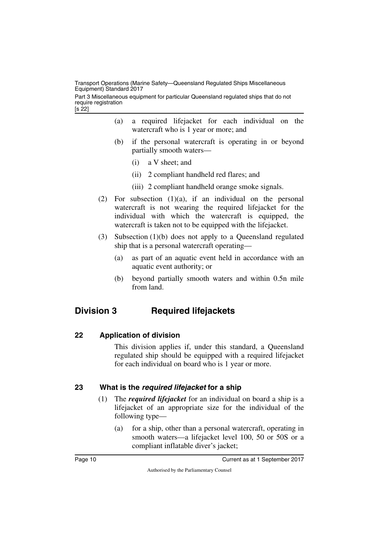[s 22] Part 3 Miscellaneous equipment for particular Queensland regulated ships that do not require registration

- (a) a required lifejacket for each individual on the watercraft who is 1 year or more; and
- (b) if the personal watercraft is operating in or beyond partially smooth waters—
	- (i) a V sheet; and
	- (ii) 2 compliant handheld red flares; and
	- (iii) 2 compliant handheld orange smoke signals.
- (2) For subsection  $(1)(a)$ , if an individual on the personal watercraft is not wearing the required lifejacket for the individual with which the watercraft is equipped, the watercraft is taken not to be equipped with the lifejacket.
- (3) Subsection (1)(b) does not apply to a Queensland regulated ship that is a personal watercraft operating—
	- (a) as part of an aquatic event held in accordance with an aquatic event authority; or
	- (b) beyond partially smooth waters and within 0.5n mile from land.

### <span id="page-11-0"></span>**Division 3 Required lifejackets**

### <span id="page-11-2"></span>**22 Application of division**

<span id="page-11-3"></span><span id="page-11-1"></span>This division applies if, under this standard, a Queensland regulated ship should be equipped with a required lifejacket for each individual on board who is 1 year or more.

### <span id="page-11-4"></span>**23 What is the** *required lifejacket* **for a ship**

- <span id="page-11-5"></span>(1) The *required lifejacket* for an individual on board a ship is a lifejacket of an appropriate size for the individual of the following type—
	- (a) for a ship, other than a personal watercraft, operating in smooth waters—a lifejacket level 100, 50 or 50S or a compliant inflatable diver's jacket;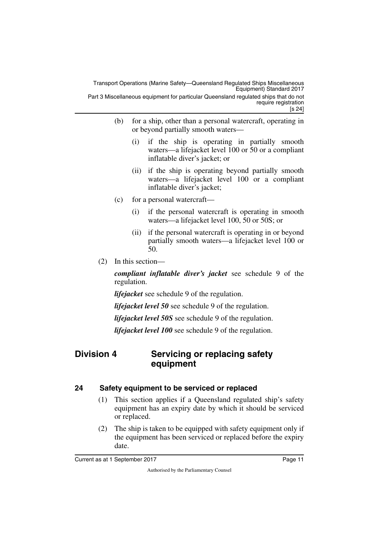- [s 24]
- (b) for a ship, other than a personal watercraft, operating in or beyond partially smooth waters—
	- (i) if the ship is operating in partially smooth waters—a lifejacket level 100 or 50 or a compliant inflatable diver's jacket; or
	- (ii) if the ship is operating beyond partially smooth waters—a lifejacket level 100 or a compliant inflatable diver's jacket;
- (c) for a personal watercraft—
	- (i) if the personal watercraft is operating in smooth waters—a lifejacket level 100, 50 or 50S; or
	- (ii) if the personal watercraft is operating in or beyond partially smooth waters—a lifejacket level 100 or 50.
- (2) In this section—

*compliant inflatable diver's jacket* see schedule 9 of the regulation.

*lifejacket* see schedule 9 of the regulation.

*lifejacket level 50* see schedule 9 of the regulation.

*lifejacket level 50S* see schedule 9 of the regulation.

<span id="page-12-1"></span>*lifejacket level 100* see schedule 9 of the regulation.

### <span id="page-12-0"></span>**Division 4 Servicing or replacing safety equipment**

### <span id="page-12-2"></span>**24 Safety equipment to be serviced or replaced**

- <span id="page-12-3"></span>(1) This section applies if a Queensland regulated ship's safety equipment has an expiry date by which it should be serviced or replaced.
- (2) The ship is taken to be equipped with safety equipment only if the equipment has been serviced or replaced before the expiry date.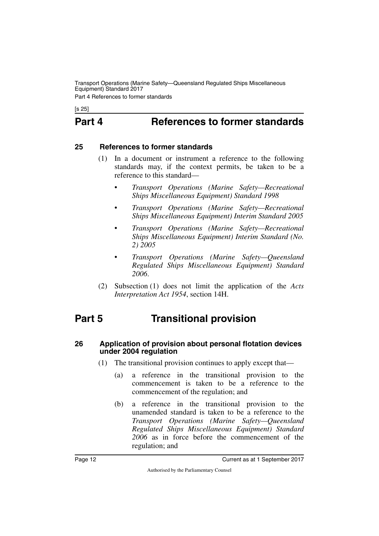Part 4 References to former standards

<span id="page-13-0"></span>[s 25]

# **Part 4 References to former standards**

#### <span id="page-13-2"></span>**25 References to former standards**

- <span id="page-13-3"></span><span id="page-13-1"></span>(1) In a document or instrument a reference to the following standards may, if the context permits, be taken to be a reference to this standard—
	- *Transport Operations (Marine Safety—Recreational Ships Miscellaneous Equipment) Standard 1998*
	- *Transport Operations (Marine Safety—Recreational Ships Miscellaneous Equipment) Interim Standard 2005*
	- *Transport Operations (Marine Safety—Recreational Ships Miscellaneous Equipment) Interim Standard (No. 2) 2005*
	- *Transport Operations (Marine Safety—Queensland Regulated Ships Miscellaneous Equipment) Standard 2006*.
- <span id="page-13-5"></span>(2) Subsection (1) does not limit the application of the *Acts Interpretation Act 1954*, section 14H.

# <span id="page-13-4"></span>**Part 5 Transitional provision**

#### <span id="page-13-6"></span>**26 Application of provision about personal flotation devices under 2004 regulation**

- <span id="page-13-7"></span>(1) The transitional provision continues to apply except that—
	- (a) a reference in the transitional provision to the commencement is taken to be a reference to the commencement of the regulation; and
	- (b) a reference in the transitional provision to the unamended standard is taken to be a reference to the *Transport Operations (Marine Safety—Queensland Regulated Ships Miscellaneous Equipment) Standard 2006* as in force before the commencement of the regulation; and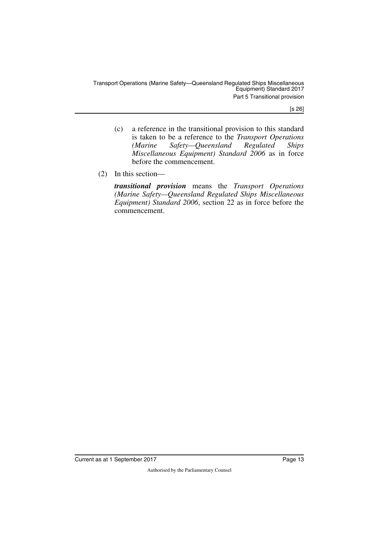[s 26]

- (c) a reference in the transitional provision to this standard is taken to be a reference to the *Transport Operations (Marine Safety—Queensland Regulated Ships Miscellaneous Equipment) Standard 2006* as in force before the commencement.
- (2) In this section—

*transitional provision* means the *Transport Operations (Marine Safety—Queensland Regulated Ships Miscellaneous Equipment) Standard 2006*, section 22 as in force before the commencement.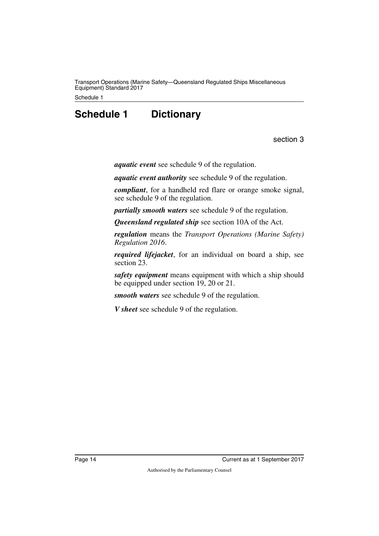<span id="page-15-0"></span>Schedule 1

## **Schedule 1 Dictionary**

section 3

<span id="page-15-1"></span>*aquatic event* see schedule 9 of the regulation.

*aquatic event authority* see schedule 9 of the regulation.

*compliant*, for a handheld red flare or orange smoke signal, see schedule 9 of the regulation.

*partially smooth waters* see schedule 9 of the regulation.

*Queensland regulated ship* see section 10A of the Act.

*regulation* means the *Transport Operations (Marine Safety) Regulation 2016*.

*required lifejacket*, for an individual on board a ship, see section 23.

*safety equipment* means equipment with which a ship should be equipped under section 19, 20 or 21.

*smooth waters* see schedule 9 of the regulation.

*V sheet* see schedule 9 of the regulation.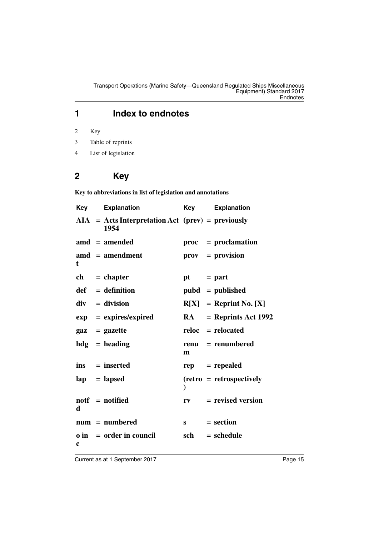### **1 Index to endnotes**

2 Key

- 3 Table of reprints
- 4 List of legislation

### **2 Key**

**Key to abbreviations in list of legislation and annotations**

| <b>Key</b>  | <b>Explanation</b>                                          | <b>Key</b>                    | <b>Explanation</b>          |
|-------------|-------------------------------------------------------------|-------------------------------|-----------------------------|
|             | $AIA = Acts Interpretation Act (prev) = previously$<br>1954 |                               |                             |
|             | $amu = amended$                                             | proc                          | $=$ proclamation            |
| t           | $\mathbf{a} \mathbf{m} \mathbf{d}$ = amendment              |                               | prov = provision            |
|             | $ch = chapter$                                              | pt                            | $=$ part                    |
|             | $def = definition$                                          |                               | $pubd = published$          |
|             | $div = division$                                            |                               | $R[X] =$ Reprint No. [X]    |
|             | $exp = expires/expired$                                     | <b>RA</b>                     | $=$ Reprints Act 1992       |
|             | $\mathbf{gaz} = \mathbf{gazette}$                           |                               | $reloc = relocated$         |
|             | $hdg =$ heading                                             | renu<br>m                     | = renumbered                |
|             | $ins = inserted$                                            | rep                           | $=$ repealed                |
|             | $lap = lapped$                                              | $\mathcal{E}$                 | $(retro = retrospectively)$ |
| d           | $notf = notified$                                           | rv                            | $=$ revised version         |
|             | $num = numbered$                                            | $\mathbf{s}$ and $\mathbf{s}$ | $=$ section                 |
| $\mathbf c$ | $\theta$ in = order in council                              | sch                           | $=$ schedule                |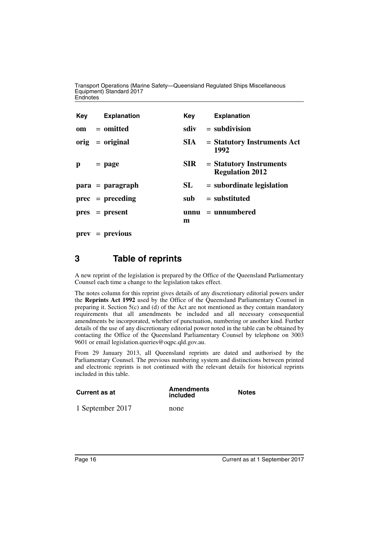| Key | Explanation        | Key        | <b>Explanation</b>                                  |
|-----|--------------------|------------|-----------------------------------------------------|
|     | $om = omitted$     | sdiv       | $=$ subdivision                                     |
|     | $orig = original$  | SIA -      | $=$ Statutory Instruments Act<br>1992               |
| p   | $=$ page           | <b>SIR</b> | $=$ Statutory Instruments<br><b>Regulation 2012</b> |
|     | $para = paragraph$ | SL         | $=$ subordinate legislation                         |
|     | $prec = preceding$ | sub        | $=$ substituted                                     |
|     | $pres = present$   | m          | $unnu = unnumbered$                                 |

**prev** = **previous**

### **3 Table of reprints**

A new reprint of the legislation is prepared by the Office of the Queensland Parliamentary Counsel each time a change to the legislation takes effect.

The notes column for this reprint gives details of any discretionary editorial powers under the **Reprints Act 1992** used by the Office of the Queensland Parliamentary Counsel in preparing it. Section  $5(c)$  and (d) of the Act are not mentioned as they contain mandatory requirements that all amendments be included and all necessary consequential amendments be incorporated, whether of punctuation, numbering or another kind. Further details of the use of any discretionary editorial power noted in the table can be obtained by contacting the Office of the Queensland Parliamentary Counsel by telephone on 3003 9601 or email legislation.queries@oqpc.qld.gov.au.

From 29 January 2013, all Queensland reprints are dated and authorised by the Parliamentary Counsel. The previous numbering system and distinctions between printed and electronic reprints is not continued with the relevant details for historical reprints included in this table.

| Current as at    | <b>Amendments</b><br>included | <b>Notes</b> |
|------------------|-------------------------------|--------------|
| 1 September 2017 | none                          |              |